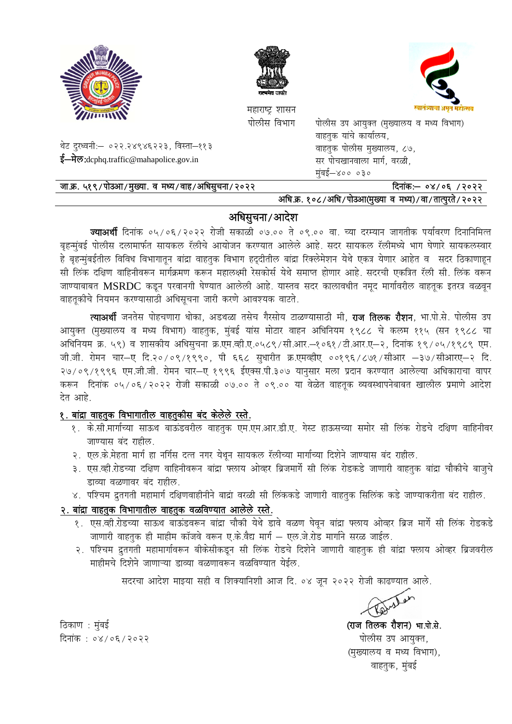

थेट दुरध्वनी:- ०२२.२४९४६२२३, विस्ता-११३

ई—मेल: dcphq.traffic@mahapolice.gov.in





महाराष्ट्र शासन पोलीस विभाग

पोलीस उप आयुक्त (मुख्यालय व मध्य विभाग) वाहतुक यांचे कार्यालय, वाहतक पोलीस मुख्यालय, ८७, सर पोचखानवाला मार्ग, वरळी, मुंबई—४०० ०३०

| जा.क्र. ५१९/पोउआ/मुख्या. व मध्य/वाह/अधिसुचना/२०२२ | दिनांक:— ०४/०६ /२०२२                                            |
|---------------------------------------------------|-----------------------------------------------------------------|
|                                                   | <u>अधिक १०८/अधि/पोउथा(प्रान्या व प्रध्य)/वा/तात्परते/२०२२ ।</u> |

## अधिसुचना/आदेश

**ज्याअर्थी** दिनांक ०५/०६/२०२२ रोजी सकाळी ०७.०० ते ०९.०० वा. च्या दरम्यान जागतीक पर्यावरण दिनानिमित्त बृहन्मुंबई पोलीस दलामार्फत सायकल रॅलीचे आयोजन करण्यात आलेले आहे. सदर सायकल रॅलीमध्ये भाग घेणारे सायकलस्वार हे बृहन्मुंबईतील विविध विभागातून बांद्रा वाहतुक विभाग हद्दीतील बांद्रा रिक्लेमेशन येथे एकत्र येणार आहेत व सदर ठिकाणाहून सी लिंक दक्षिण वाहिनीवरून मार्गक्रमण करून महालक्ष्मी रेसकोर्स येथे समाप्त होणार आहे. सदरची एकत्रित रॅली सी. लिंक वरून जाण्याबाबत MSRDC कडून परवानगी घेण्यात आलेली आहे. यास्तव सदर कालावधीत नमूद मार्गावरील वाहतूक इतरत्र वळवून वाहतूकीचे नियमन करण्यासाठी अधिसूचना जारी करणे आवश्यक वाटते.

त्याअर्थी जनतेस पोहचणारा धोका, अडथळा तसेच गैरसोय टाळण्यासाठी मी, **राज तिलक रौशन**, भा.पो.से. पोलीस उप आयुक्त (मुख्यालय व मध्य विभाग) वाहतुक, मुंबई यांस मोटार वाहन अधिनियम १९८८ चे कलम ११५ (सन १९८८ चा अधिनियम क्र. ५९) व शासकीय अधिसुचना क्र.एम.व्ही.ए.०५८९/सी.आर.-१०६१/टी.आर.ए-२, दिनांक १९/०५/१९८९ एम. जी.जी. रोमन चार-ए दि.२०/०९/१९९०, पी ६६८ सुधारीत क्र.एमव्हीए ००१९६/८७१/सीआर -३७/सीआरए-२ दि. २७/०९/१९९६ एम.जी.जी. रोमन चार-ए १९९६ ईएक्स.पी.३०७ यानुसार मला प्रदान करण्यात आलेल्या अधिकाराचा वापर करून दिनांक ०५/०६/२०२२ रोजी सकाळी ०७.०० ते ०९.०० या वेळेत वाहतूक व्यवस्थापनेबाबत खालील प्रमाणे आदेश देत आहे.

### १. बांद्रा वाहतुक विभागातील वाहतुकीस बंद केलेले रस्ते.

- १. के.सी.मार्गाच्या साऊथ बाऊंडवरील वाहतुक एम.एम.आर.डी.ए. गेस्ट हाऊसच्या समोर सी लिंक रोडचे दक्षिण वाहिनीवर जाण्यास बंद राहील.
- २. एल.के.मेहता मार्ग हा नर्गिस दत्त नगर येथून सायकल रॅलीच्या मार्गाच्या दिशेने जाण्यास बंद राहील.
- ३. एस.व्ही.रोडच्या दक्षिण वाहिनीवरून बांद्रा फ्लाय ओव्हर ब्रिजमार्गे सी लिंक रोडकडे जाणारी वाहतुक बांद्रा चौकीचे बाजुचे डाव्या वळणावर बंद राहील.
- ४. पश्चिम द्रुतगती महामार्ग दक्षिणवाहीनीने बाद्रा वरळी सी लिंककडे जाणारी वाहतुक सिलिंक कडे जाण्याकरीता बंद राहील.

#### २. बांद्रा वाहतुक विभागातील वाहतुक वळविण्यात आलेले रस्ते.

- जाणारी वाहतुक ही माहीम कॉजवे वरून ए.के.वैद्य मार्ग - एल.जे.रोड मार्गाने सरळ जाईल.
- २. पश्चिम द्रुतगती महामार्गावरून बीकेसीकडून सी लिंक रोडचे दिशेने जाणारी वाहतुक ही बांद्रा फ्लाय ओव्हर ब्रिजवरील माहीमचे दिशेने जाणाऱ्या डाव्या वळणावरून वळविण्यात येईल.

सदरचा आदेश माझ्या सही व शिक्यानिशी आज दि. ०४ जून २०२२ रोजी काढण्यात आले.

(राज तिलक रौशन) भा.पो.से. पोलीस उप आयुक्त, (मुख्यालय व मध्य विभाग), वाहतुक, मुंबई

ठिकाण : मुंबई दिनांक: ०४/०६/२०२२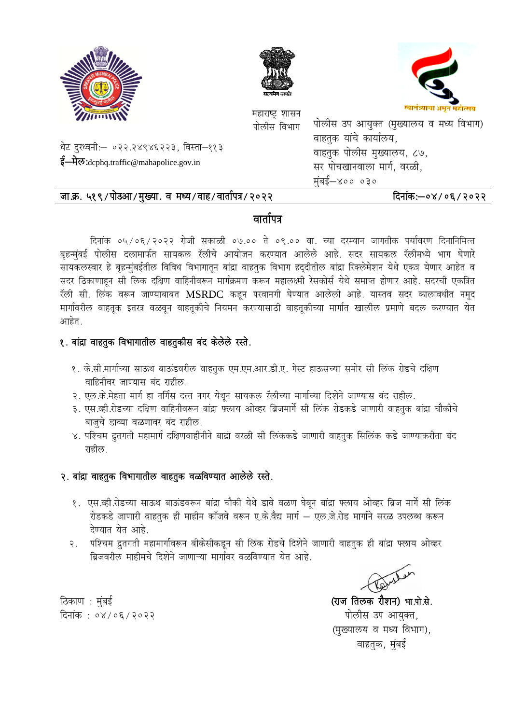





महाराष्ट्र शासन पोलीस<sup>्</sup>विभाग <sup>पं</sup>

वाहतुक यांचे कार्यालय, वाहतुक पोलीस मुख्यालय, ८७, सर पोचखानवाला मार्ग, वरळी, मुंबई—४०० ०३० पोलीस उप आयुक्त (मुख्यालय व मध्य

### जा.क्र. ५१९/पोउआ/मुख्या. व मध्य/वाह/वार्तापत्र/२०२२

थेट दुरध्वनी:— ०२२.२४९४६२२३, विस्ता—११३

ई—मेल:dcphq.traffic@mahapolice.gov.in

### दिनांक:—०४/०६/२०२२

## वार्तापत्र

बृहन्मुंबई पोलीस दलामार्फत सायकल रॅलीचे आयोजन करण्यात आलेले आहे. सदर सायकल रॅलीमध्ये भाग घेणारे सायकलस्वार हे बृहन्मुंबईतील विविध विभागातून बांद्रा वाहतुक विभाग हद्दीतील बांद्रा रिक्लेमेशन येथे एकत्र येणार आहेत व सदर ठिकाणाहून सी लिक दक्षिण वाहिनीवरून मार्गक्रमण करून महालक्ष्मी रेसकोर्स येथे समाप्त होणार आहे. सदरची एकत्रित रॅली सी. लिंक वरून जाण्याबाबत  $\mathbf{MSRDC}$  कडून परवानगी घेण्यात आलेली आहे. यास्तव सदर कालावधीत नमूद मार्गावरील वाहतूक इतरत्र वळवून वाहतूकीचे नियमन करण्यासाठी वाहतूकीच्या मार्गात खालील प्रमाणे बदल करण्यात येत आहेत. दिनांक ०५/०६/२०२२ रोजी सकाळी ०७.०० ते ०९.०० वा. च्या दरम्यान जागतीक पर्यावरण दिनानिमित्त द्र्यालय व मध्य विभाग)<br>य, ८७,<br>वरळी,<br>वरळी,<br>संकं:—०४/०६/२०२२<br>पर्यावरण दिनानिमित्त<br>रॅलीमध्ये भाग घेणारे<br>एकत्र येणार आहेत व<br>आहे. सदस्वी एकत्रित<br>असरे बदल करण्यात येत<br>शेल.<br>शेल.<br>गुक बांद्रा चौकीचे<br>जाण्याकरीता बंद<br>जाण्याकरीता बंद

## १. बांद्रा वाहतुक विभागातील वाहतुकीस बंद केलेले रस्ते.

- १. के.सी.मार्गाच्या साऊथ बाऊंडवरील वाहतुक एम.एम.आर.डी.ए. गेस्ट हाऊसच्या समोर सी लिंक रोडचे दक्षिण वाहिनीवर जाण्यास बंद राहील.
- २. एल.के.मेहता मार्ग हा नर्गिस दत्त नगर येथून सायकल रॅलीच्या मार्गाच्या दिशेने जाण्यास बंद राहील.
- ३. एस.व्ही रोडच्या दक्षिण वाहिनीवरून बांद्रा फ्लाय ओव्हर ब्रिजमार्गे सी लिंक रोडकडे जाणारी वाहतुक बांद्रा चौकीचे बाजुचे डाव्या वळणावर बंद राहील.
- ४. पश्चिम द्रुतगती महामार्ग दक्षिणवाहीनीने बाद्रां वरळी सी लिंककडे जाणारी वाहतुक सिलिंक कडे जाण्याकरीता बंद राहील.

### २. बांद्रा वाहतुक विभागातील वाहतुक वळविण्यात आलेले रस्ते.

- १. एस.व्ही.रोडच्या साऊथ बाऊंडवरून बांद्रा चौकी येथे डावे वळण घेवून बांद्रा फ्लाय ओव्हर ब्रिज मार्गे सी लिंक रोडकडे जाणारी वाहतुक ही माहीम कॉजवे वरून ए.के.वैद्य मार्ग — एल.जे.रोड मार्गाने सरळ उपलब्ध करून देण्यात येत आहे.
- २. पश्चिम द्रुतगती महामार्गावरून बीकेसीकडून सी लिंक रोडचे दिशेने जाणारी वाहतुक ही बांद्रा फ्लाय ओव्हर ब्रिजवरील माहीमचे दिशेने जाणाऱ्या मार्गावर वळविण्यात येत आहे.

(राज तिलक रौशन) भा.पो.से. पोलीस उप आयुक्त, (मुख्यालय व मध्य विभाग), वाहतुक, मुंबई

ठिकाण : मुंबई दिनांक : ०४/०६/२०२२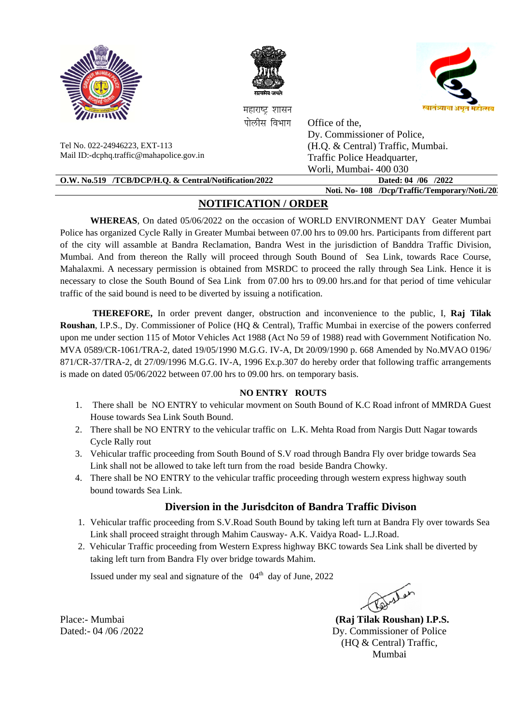





महाराष्ट शासन पोलीस विभाग

Office of the.

Dy. Commissioner of Police,

(H.O. & Central) Traffic, Mumbai.

Tel No. 022-24946223, EXT-113 Mail ID:-dcphq.traffic@mahapolice.gov.in

| Mail ID:-dcphq.traffic@mahapolice.gov.in              | Traffic Police Headquarter,                  |
|-------------------------------------------------------|----------------------------------------------|
|                                                       | Worli, Mumbai-400 030                        |
| O.W. No.519 /TCB/DCP/H.Q. & Central/Notification/2022 | Dated: 04 /06 /2022                          |
|                                                       | Noti, No-108 /Dep/Traffic/Temporary/Noti,/20 |
|                                                       |                                              |

# **NOTIFICATION / ORDER**

WHEREAS, On dated 05/06/2022 on the occasion of WORLD ENVIRONMENT DAY Geater Mumbai Police has organized Cycle Rally in Greater Mumbai between 07.00 hrs to 09.00 hrs. Participants from different part of the city will assamble at Bandra Reclamation, Bandra West in the jurisdiction of Banddra Traffic Division, Mumbai. And from thereon the Rally will proceed through South Bound of Sea Link, towards Race Course, Mahalaxmi. A necessary permission is obtained from MSRDC to proceed the rally through Sea Link. Hence it is necessary to close the South Bound of Sea Link from 07.00 hrs to 09.00 hrs.and for that period of time vehicular traffic of the said bound is need to be diverted by issuing a notification.

**THEREFORE,** In order prevent danger, obstruction and inconvenience to the public, I, Raj Tilak Roushan, I.P.S., Dy. Commissioner of Police (HQ & Central), Traffic Mumbai in exercise of the powers conferred upon me under section 115 of Motor Vehicles Act 1988 (Act No 59 of 1988) read with Government Notification No. MVA 0589/CR-1061/TRA-2, dated 19/05/1990 M.G.G. IV-A, Dt 20/09/1990 p. 668 Amended by No.MVAO 0196/ 871/CR-37/TRA-2, dt 27/09/1996 M.G.G. IV-A, 1996 Ex.p.307 do hereby order that following traffic arrangements is made on dated  $05/06/2022$  between 07.00 hrs to 09.00 hrs. on temporary basis.

### **NO ENTRY ROUTS**

- 1. There shall be NO ENTRY to vehicular movment on South Bound of K.C Road infront of MMRDA Guest House towards Sea Link South Bound.
- 2. There shall be NO ENTRY to the vehicular traffic on L.K. Mehta Road from Nargis Dutt Nagar towards **Cycle Rally rout**
- 3. Vehicular traffic proceeding from South Bound of S.V road through Bandra Fly over bridge towards Sea Link shall not be allowed to take left turn from the road beside Bandra Chowky.
- 4. There shall be NO ENTRY to the vehicular traffic proceeding through western express highway south bound towards Sea Link.

### Diversion in the Jurisdciton of Bandra Traffic Divison

- 1. Vehicular traffic proceeding from S.V.Road South Bound by taking left turn at Bandra Fly over towards Sea Link shall proceed straight through Mahim Causway- A.K. Vaidya Road- L.J.Road.
- 2. Vehicular Traffic proceeding from Western Express highway BKC towards Sea Link shall be diverted by taking left turn from Bandra Fly over bridge towards Mahim.

Issued under my seal and signature of the 04<sup>th</sup> day of June. 2022

(Rai Tilak Roushan) I.P.S. Dy. Commissioner of Police (HQ & Central) Traffic, Mumbai

Place:- Mumbai Dated:- 04 /06 /2022